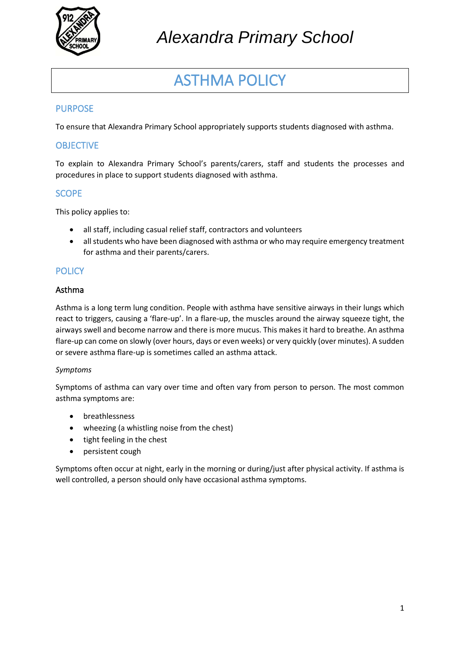

# ASTHMA POLICY

## PURPOSE

To ensure that Alexandra Primary School appropriately supports students diagnosed with asthma.

## **OBJECTIVE**

To explain to Alexandra Primary School's parents/carers, staff and students the processes and procedures in place to support students diagnosed with asthma.

### **SCOPE**

This policy applies to:

- all staff, including casual relief staff, contractors and volunteers
- all students who have been diagnosed with asthma or who may require emergency treatment for asthma and their parents/carers.

### **POLICY**

#### Asthma

Asthma is a long term lung condition. People with asthma have sensitive airways in their lungs which react to triggers, causing a 'flare-up'. In a flare-up, the muscles around the airway squeeze tight, the airways swell and become narrow and there is more mucus. This makes it hard to breathe. An asthma flare-up can come on slowly (over hours, days or even weeks) or very quickly (over minutes). A sudden or severe asthma flare-up is sometimes called an asthma attack.

#### *Symptoms*

Symptoms of asthma can vary over time and often vary from person to person. The most common asthma symptoms are:

- breathlessness
- wheezing (a whistling noise from the chest)
- tight feeling in the chest
- persistent cough

Symptoms often occur at night, early in the morning or during/just after physical activity. If asthma is well controlled, a person should only have occasional asthma symptoms.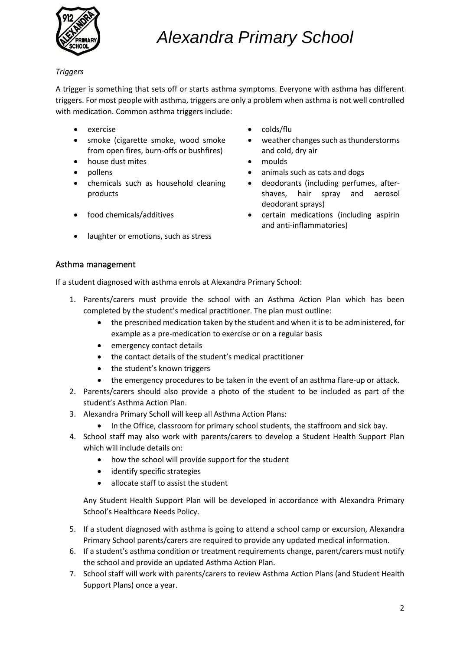

#### *Triggers*

A trigger is something that sets off or starts asthma symptoms. Everyone with asthma has different triggers. For most people with asthma, triggers are only a problem when asthma is not well controlled with medication. Common asthma triggers include:

- 
- smoke (cigarette smoke, wood smoke from open fires, burn-offs or bushfires)
- house dust mites moulds
- 
- chemicals such as household cleaning products
- 
- laughter or emotions, such as stress
- exercise colds/flu
	- weather changes such as thunderstorms and cold, dry air
	-
	- pollens animals such as cats and dogs
		- deodorants (including perfumes, aftershaves, hair spray and aerosol deodorant sprays)
- food chemicals/additives certain medications (including aspirin and anti-inflammatories)

#### Asthma management

If a student diagnosed with asthma enrols at Alexandra Primary School:

- 1. Parents/carers must provide the school with an Asthma Action Plan which has been completed by the student's medical practitioner. The plan must outline:
	- the prescribed medication taken by the student and when it is to be administered, for example as a pre-medication to exercise or on a regular basis
	- emergency contact details
	- the contact details of the student's medical practitioner
	- the student's known triggers
	- the emergency procedures to be taken in the event of an asthma flare-up or attack.
- 2. Parents/carers should also provide a photo of the student to be included as part of the student's Asthma Action Plan.
- 3. Alexandra Primary Scholl will keep all Asthma Action Plans:
	- In the Office, classroom for primary school students, the staffroom and sick bay.
- 4. School staff may also work with parents/carers to develop a Student Health Support Plan which will include details on:
	- how the school will provide support for the student
	- identify specific strategies
	- allocate staff to assist the student

Any Student Health Support Plan will be developed in accordance with Alexandra Primary School's Healthcare Needs Policy.

- 5. If a student diagnosed with asthma is going to attend a school camp or excursion, Alexandra Primary School parents/carers are required to provide any updated medical information.
- 6. If a student's asthma condition or treatment requirements change, parent/carers must notify the school and provide an updated Asthma Action Plan.
- 7. School staff will work with parents/carers to review Asthma Action Plans (and Student Health Support Plans) once a year.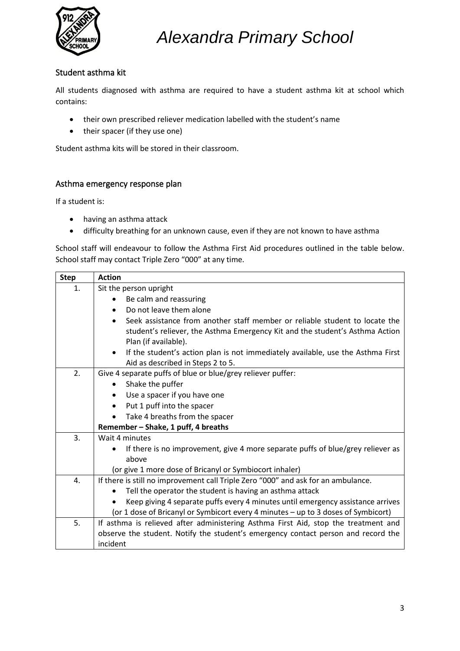

### Student asthma kit

All students diagnosed with asthma are required to have a student asthma kit at school which contains:

- their own prescribed reliever medication labelled with the student's name
- their spacer (if they use one)

Student asthma kits will be stored in their classroom.

#### Asthma emergency response plan

If a student is:

- having an asthma attack
- difficulty breathing for an unknown cause, even if they are not known to have asthma

School staff will endeavour to follow the Asthma First Aid procedures outlined in the table below. School staff may contact Triple Zero "000" at any time.

| <b>Step</b> | <b>Action</b>                                                                                                                                                            |  |  |  |  |
|-------------|--------------------------------------------------------------------------------------------------------------------------------------------------------------------------|--|--|--|--|
| 1.          | Sit the person upright                                                                                                                                                   |  |  |  |  |
|             | Be calm and reassuring                                                                                                                                                   |  |  |  |  |
|             | Do not leave them alone                                                                                                                                                  |  |  |  |  |
|             | Seek assistance from another staff member or reliable student to locate the<br>$\bullet$<br>student's reliever, the Asthma Emergency Kit and the student's Asthma Action |  |  |  |  |
|             | Plan (if available).                                                                                                                                                     |  |  |  |  |
|             | If the student's action plan is not immediately available, use the Asthma First<br>$\bullet$<br>Aid as described in Steps 2 to 5.                                        |  |  |  |  |
| 2.          | Give 4 separate puffs of blue or blue/grey reliever puffer:                                                                                                              |  |  |  |  |
|             | Shake the puffer<br>$\bullet$                                                                                                                                            |  |  |  |  |
|             | Use a spacer if you have one                                                                                                                                             |  |  |  |  |
|             | Put 1 puff into the spacer                                                                                                                                               |  |  |  |  |
|             | Take 4 breaths from the spacer                                                                                                                                           |  |  |  |  |
|             | Remember - Shake, 1 puff, 4 breaths                                                                                                                                      |  |  |  |  |
| 3.          | Wait 4 minutes                                                                                                                                                           |  |  |  |  |
|             | If there is no improvement, give 4 more separate puffs of blue/grey reliever as                                                                                          |  |  |  |  |
|             | above                                                                                                                                                                    |  |  |  |  |
|             | (or give 1 more dose of Bricanyl or Symbiocort inhaler)                                                                                                                  |  |  |  |  |
| 4.          | If there is still no improvement call Triple Zero "000" and ask for an ambulance.                                                                                        |  |  |  |  |
|             | Tell the operator the student is having an asthma attack                                                                                                                 |  |  |  |  |
|             | Keep giving 4 separate puffs every 4 minutes until emergency assistance arrives                                                                                          |  |  |  |  |
|             | (or 1 dose of Bricanyl or Symbicort every 4 minutes - up to 3 doses of Symbicort)                                                                                        |  |  |  |  |
| 5.          | If asthma is relieved after administering Asthma First Aid, stop the treatment and                                                                                       |  |  |  |  |
|             | observe the student. Notify the student's emergency contact person and record the                                                                                        |  |  |  |  |
|             | incident                                                                                                                                                                 |  |  |  |  |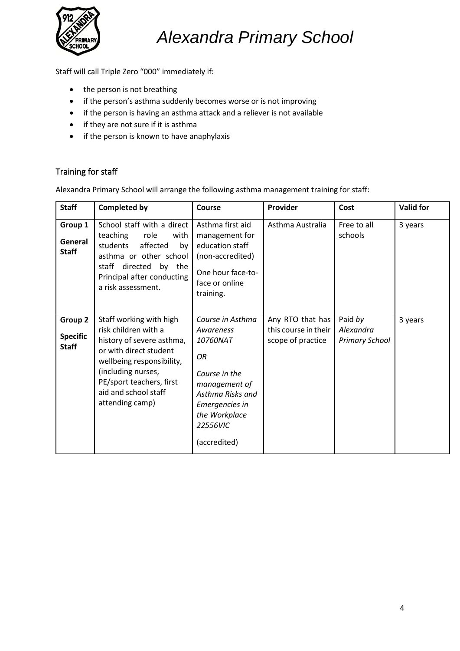

Staff will call Triple Zero "000" immediately if:

- the person is not breathing
- if the person's asthma suddenly becomes worse or is not improving
- if the person is having an asthma attack and a reliever is not available
- if they are not sure if it is asthma
- if the person is known to have anaphylaxis

## Training for staff

Alexandra Primary School will arrange the following asthma management training for staff:

| <b>Staff</b>                               | <b>Completed by</b>                                                                                                                                                                                                              | Course                                                                                                                                                               | Provider                                                      | Cost                                          | <b>Valid for</b> |
|--------------------------------------------|----------------------------------------------------------------------------------------------------------------------------------------------------------------------------------------------------------------------------------|----------------------------------------------------------------------------------------------------------------------------------------------------------------------|---------------------------------------------------------------|-----------------------------------------------|------------------|
| Group 1<br>General<br><b>Staff</b>         | School staff with a direct<br>teaching<br>role<br>with<br>students<br>affected<br>by<br>asthma or other school<br>directed<br>by the<br>staff<br>Principal after conducting<br>a risk assessment.                                | Asthma first aid<br>management for<br>education staff<br>(non-accredited)<br>One hour face-to-<br>face or online<br>training.                                        | Asthma Australia                                              | Free to all<br>schools                        | 3 years          |
| Group 2<br><b>Specific</b><br><b>Staff</b> | Staff working with high<br>risk children with a<br>history of severe asthma,<br>or with direct student<br>wellbeing responsibility,<br>(including nurses,<br>PE/sport teachers, first<br>aid and school staff<br>attending camp) | Course in Asthma<br>Awareness<br>10760NAT<br>OR<br>Course in the<br>management of<br>Asthma Risks and<br>Emergencies in<br>the Workplace<br>22556VIC<br>(accredited) | Any RTO that has<br>this course in their<br>scope of practice | Paid by<br>Alexandra<br><b>Primary School</b> | 3 years          |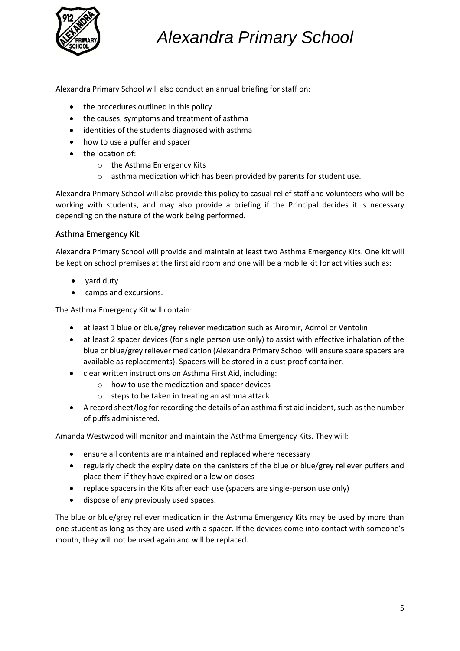

Alexandra Primary School will also conduct an annual briefing for staff on:

- the procedures outlined in this policy
- the causes, symptoms and treatment of asthma
- identities of the students diagnosed with asthma
- how to use a puffer and spacer
- the location of:
	- o the Asthma Emergency Kits
	- o asthma medication which has been provided by parents for student use.

Alexandra Primary School will also provide this policy to casual relief staff and volunteers who will be working with students, and may also provide a briefing if the Principal decides it is necessary depending on the nature of the work being performed.

### Asthma Emergency Kit

Alexandra Primary School will provide and maintain at least two Asthma Emergency Kits. One kit will be kept on school premises at the first aid room and one will be a mobile kit for activities such as:

- yard duty
- camps and excursions.

The Asthma Emergency Kit will contain:

- at least 1 blue or blue/grey reliever medication such as Airomir, Admol or Ventolin
- at least 2 spacer devices (for single person use only) to assist with effective inhalation of the blue or blue/grey reliever medication (Alexandra Primary School will ensure spare spacers are available as replacements). Spacers will be stored in a dust proof container.
- clear written instructions on Asthma First Aid, including:
	- o how to use the medication and spacer devices
	- o steps to be taken in treating an asthma attack
- A record sheet/log for recording the details of an asthma first aid incident, such as the number of puffs administered.

Amanda Westwood will monitor and maintain the Asthma Emergency Kits. They will:

- ensure all contents are maintained and replaced where necessary
- regularly check the expiry date on the canisters of the blue or blue/grey reliever puffers and place them if they have expired or a low on doses
- replace spacers in the Kits after each use (spacers are single-person use only)
- dispose of any previously used spaces.

The blue or blue/grey reliever medication in the Asthma Emergency Kits may be used by more than one student as long as they are used with a spacer. If the devices come into contact with someone's mouth, they will not be used again and will be replaced.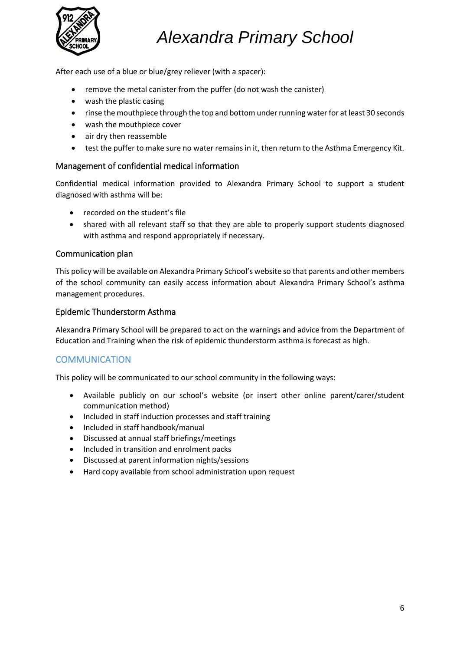

After each use of a blue or blue/grey reliever (with a spacer):

- remove the metal canister from the puffer (do not wash the canister)
- wash the plastic casing
- rinse the mouthpiece through the top and bottom under running water for at least 30 seconds
- wash the mouthpiece cover
- air dry then reassemble
- test the puffer to make sure no water remains in it, then return to the Asthma Emergency Kit.

#### Management of confidential medical information

Confidential medical information provided to Alexandra Primary School to support a student diagnosed with asthma will be:

- recorded on the student's file
- shared with all relevant staff so that they are able to properly support students diagnosed with asthma and respond appropriately if necessary.

#### Communication plan

This policy will be available on Alexandra Primary School's website so that parents and other members of the school community can easily access information about Alexandra Primary School's asthma management procedures.

#### Epidemic Thunderstorm Asthma

Alexandra Primary School will be prepared to act on the warnings and advice from the Department of Education and Training when the risk of epidemic thunderstorm asthma is forecast as high.

### **COMMUNICATION**

This policy will be communicated to our school community in the following ways:

- Available publicly on our school's website (or insert other online parent/carer/student communication method)
- Included in staff induction processes and staff training
- Included in staff handbook/manual
- Discussed at annual staff briefings/meetings
- Included in transition and enrolment packs
- Discussed at parent information nights/sessions
- Hard copy available from school administration upon request